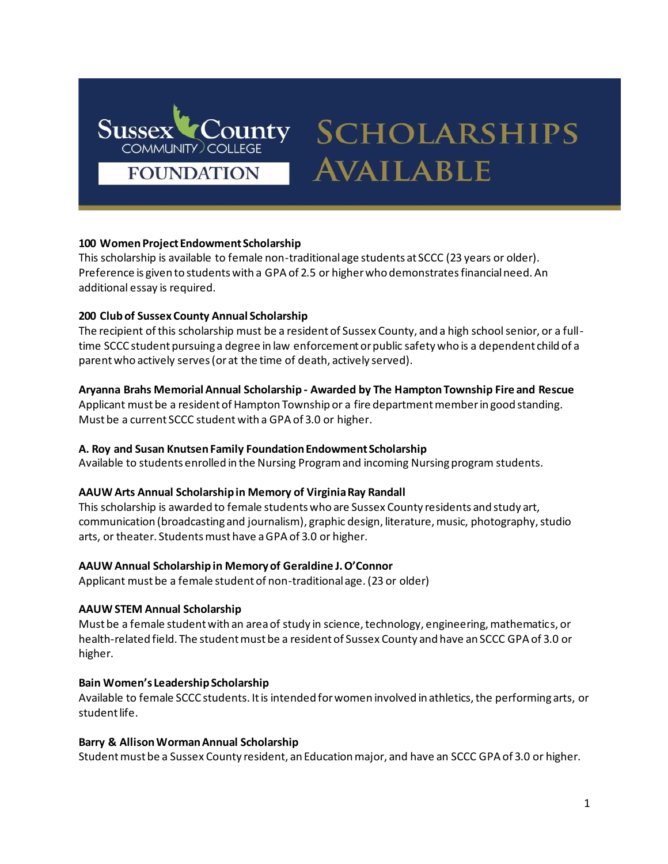

# **SCHOLARSHIPS AVAILABLE**

# **100 Women Project Endowment Scholarship**

This scholarship is available to female non-traditional age students at SCCC (23 years or older). Preference is given to students with a GPA of 2.5 or higher who demonstrates financial need. An additional essay is required.

# **200 Club of Sussex County Annual Scholarship**

The recipient of this scholarship must be a resident of Sussex County, and a high school senior, or a fulltime SCCC student pursuing a degree in law enforcement or public safety who is a dependent child of a parent who actively serves (or at the time of death, actively served).

# **Aryanna Brahs Memorial Annual Scholarship - Awarded by The Hampton Township Fire and Rescue**

Applicant must be a resident of Hampton Township or a fire department member in good standing. Must be a current SCCC student with a GPA of 3.0 or higher.

# **A. Roy and Susan Knutsen Family Foundation Endowment Scholarship**

Available to students enrolled in the Nursing Program and incoming Nursing program students.

# **AAUW Arts Annual Scholarship in Memory of Virginia Ray Randall**

This scholarship is awarded to female students who are Sussex County residents and study art, communication (broadcasting and journalism), graphic design, literature, music, photography, studio arts, or theater. Students must have a GPA of 3.0 or higher.

# **AAUW Annual Scholarship in Memory of Geraldine J. O'Connor**

Applicant must be a female student of non-traditional age. (23 or older)

# **AAUW STEM Annual Scholarship**

Must be a female student with an area of study in science, technology, engineering, mathematics, or health-related field. The student must be a resident of Sussex County and have an SCCC GPA of 3.0 or higher.

## **Bain Women's Leadership Scholarship**

Available to female SCCC students. It is intended for women involved in athletics, the performing arts, or student life.

## **Barry & Allison Worman Annual Scholarship**

Student must be a Sussex County resident, an Education major, and have an SCCC GPA of 3.0 or higher.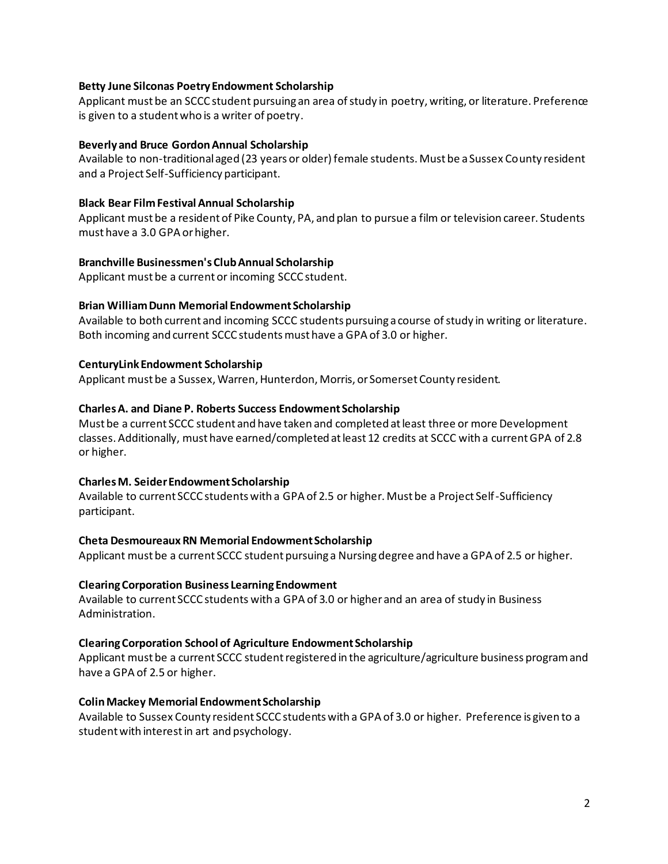## **Betty June Silconas Poetry Endowment Scholarship**

Applicant must be an SCCC student pursuing an area of study in poetry, writing, or literature. Preference is given to a student who is a writer of poetry.

#### **Beverly and Bruce Gordon Annual Scholarship**

Available to non-traditional aged (23 years or older) female students. Must be a Sussex County resident and a Project Self-Sufficiency participant.

#### **Black Bear Film Festival Annual Scholarship**

Applicant must be a resident of Pike County, PA, and plan to pursue a film or television career. Students must have a 3.0 GPA or higher.

#### **Branchville Businessmen's Club Annual Scholarship**

Applicant must be a current or incoming SCCC student.

#### **Brian William Dunn Memorial Endowment Scholarship**

Available to both current and incoming SCCC students pursuing a course of study in writing or literature. Both incoming and current SCCC students must have a GPA of 3.0 or higher.

#### **CenturyLink Endowment Scholarship**

Applicant must be a Sussex, Warren, Hunterdon, Morris, or Somerset County resident.

#### **Charles A. and Diane P. Roberts Success Endowment Scholarship**

Must be a current SCCC student and have taken and completed at least three or more Development classes. Additionally, must have earned/completed at least 12 credits at SCCC with a current GPA of 2.8 or higher.

## **Charles M. Seider Endowment Scholarship**

Available to current SCCC students with a GPA of 2.5 or higher. Must be a Project Self-Sufficiency participant.

#### **Cheta Desmoureaux RN Memorial Endowment Scholarship**

Applicant must be a current SCCC student pursuing a Nursing degree and have a GPA of 2.5 or higher.

#### **Clearing Corporation Business Learning Endowment**

Available to current SCCC students with a GPA of 3.0 or higher and an area of study in Business Administration.

#### **Clearing Corporation School of Agriculture Endowment Scholarship**

Applicant must be a current SCCC student registered in the agriculture/agriculture business program and have a GPA of 2.5 or higher.

#### **Colin Mackey Memorial Endowment Scholarship**

Available to Sussex County resident SCCC students with a GPA of 3.0 or higher. Preference is given to a student with interest in art and psychology.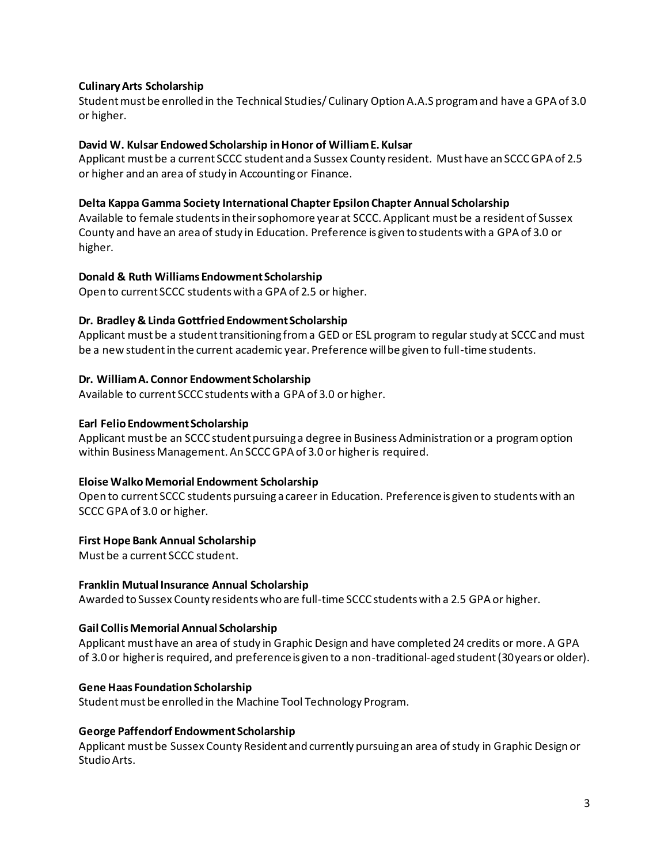## **Culinary Arts Scholarship**

Student must be enrolled in the Technical Studies/ Culinary Option A.A.S program and have a GPA of 3.0 or higher.

#### **David W. Kulsar Endowed Scholarship in Honor of William E. Kulsar**

Applicant must be a current SCCC student and a Sussex County resident. Must have an SCCC GPA of 2.5 or higher and an area of study in Accounting or Finance.

#### **Delta Kappa Gamma Society International Chapter Epsilon Chapter Annual Scholarship**

Available to female students in their sophomore year at SCCC. Applicant must be a resident of Sussex County and have an area of study in Education. Preference is given to students with a GPA of 3.0 or higher.

#### **Donald & Ruth Williams Endowment Scholarship**

Open to current SCCC students with a GPA of 2.5 or higher.

#### **Dr. Bradley & Linda Gottfried Endowment Scholarship**

Applicant must be a student transitioning from a GED or ESL program to regular study at SCCC and must be a new student in the current academic year. Preference will be given to full-time students.

#### **Dr. William A. Connor Endowment Scholarship**

Available to current SCCC students with a GPA of 3.0 or higher.

#### **Earl Felio Endowment Scholarship**

Applicant must be an SCCC student pursuing a degree in Business Administration or a program option within Business Management. An SCCC GPA of 3.0 or higher is required.

#### **Eloise Walko Memorial Endowment Scholarship**

Open to current SCCC students pursuing a career in Education. Preference is given to students with an SCCC GPA of 3.0 or higher.

#### **First Hope Bank Annual Scholarship**

Must be a current SCCC student.

#### **Franklin Mutual Insurance Annual Scholarship**

Awarded to Sussex County residents who are full-time SCCC students with a 2.5 GPA or higher.

#### **Gail Collis Memorial Annual Scholarship**

Applicant must have an area of study in Graphic Design and have completed 24 credits or more. A GPA of 3.0 or higher is required, and preference is given to a non-traditional-aged student (30 years or older).

#### **Gene Haas Foundation Scholarship**

Student must be enrolled in the Machine Tool Technology Program.

#### **George Paffendorf Endowment Scholarship**

Applicant must be Sussex County Resident and currently pursuing an area of study in Graphic Design or Studio Arts.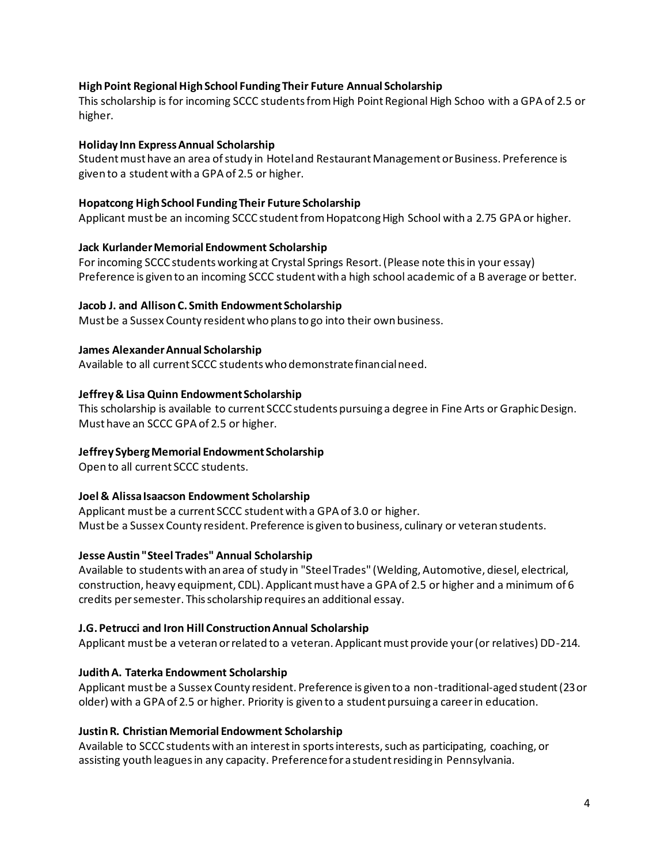# **High Point Regional High School Funding Their Future Annual Scholarship**

This scholarship is for incoming SCCC students from High Point Regional High Schoo with a GPA of 2.5 or higher.

## **Holiday Inn Express Annual Scholarship**

Student must have an area of study in Hotel and Restaurant Management or Business. Preference is given to a student with a GPA of 2.5 or higher.

#### **Hopatcong High School Funding Their Future Scholarship**

Applicant must be an incoming SCCC student from Hopatcong High School with a 2.75 GPA or higher.

#### **Jack Kurlander Memorial Endowment Scholarship**

For incoming SCCC students working at Crystal Springs Resort. (Please note this in your essay) Preference is given to an incoming SCCC student with a high school academic of a B average or better.

#### **Jacob J. and Allison C. Smith Endowment Scholarship**

Must be a Sussex County resident who plans to go into their own business.

#### **James Alexander Annual Scholarship**

Available to all current SCCC students who demonstrate financial need.

## **Jeffrey & Lisa Quinn Endowment Scholarship**

This scholarship is available to current SCCC students pursuing a degree in Fine Arts or Graphic Design. Must have an SCCC GPA of 2.5 or higher.

## **Jeffrey Syberg Memorial Endowment Scholarship**

Open to all current SCCC students.

## **Joel & Alissa Isaacson Endowment Scholarship**

Applicant must be a current SCCC student with a GPA of 3.0 or higher. Must be a Sussex County resident. Preference is given to business, culinary or veteran students.

# **Jesse Austin "Steel Trades" Annual Scholarship**

Available to students with an area of study in "Steel Trades" (Welding, Automotive, diesel, electrical, construction, heavy equipment, CDL). Applicant must have a GPA of 2.5 or higher and a minimum of 6 credits per semester. This scholarship requires an additional essay.

#### **J.G. Petrucci and Iron Hill Construction Annual Scholarship**

Applicant must be a veteran or related to a veteran. Applicant must provide your (or relatives) DD-214.

## **Judith A. Taterka Endowment Scholarship**

Applicant must be a Sussex County resident. Preference is given to a non-traditional-aged student (23 or older) with a GPA of 2.5 or higher. Priority is given to a student pursuing a career in education.

## **Justin R. Christian Memorial Endowment Scholarship**

Available to SCCC students with an interest in sports interests, such as participating, coaching, or assisting youth leagues in any capacity. Preference for a student residing in Pennsylvania.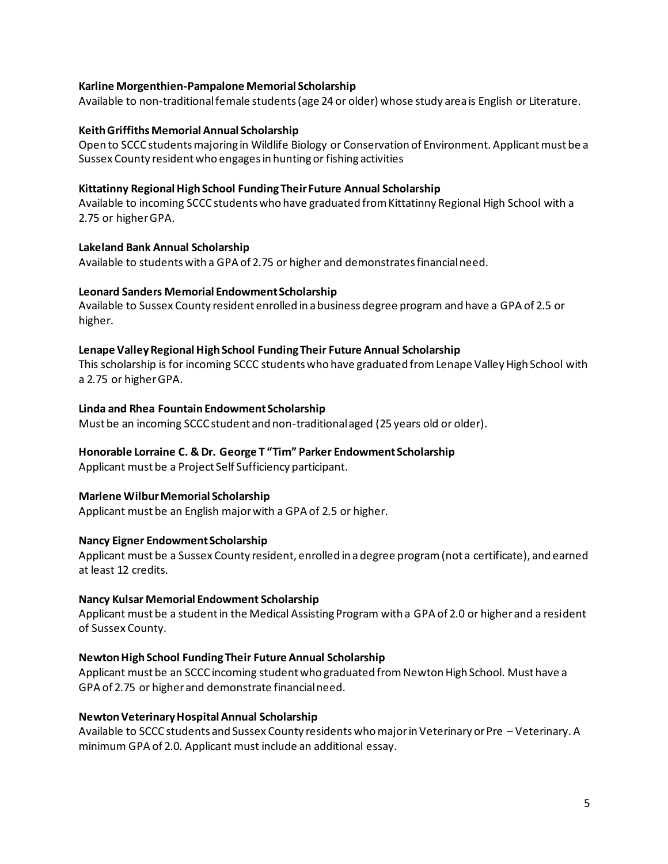## **Karline Morgenthien-Pampalone Memorial Scholarship**

Available to non-traditional female students (age 24 or older) whose study area is English or Literature.

## **Keith Griffiths Memorial Annual Scholarship**

Open to SCCC students majoring in Wildlife Biology or Conservation of Environment. Applicant must be a Sussex County resident who engages in hunting or fishing activities

# **Kittatinny Regional High School Funding Their Future Annual Scholarship**

Available to incoming SCCC students who have graduated from Kittatinny Regional High School with a 2.75 or higher GPA.

# **Lakeland Bank Annual Scholarship**

Available to students with a GPA of 2.75 or higher and demonstrates financial need.

# **Leonard Sanders Memorial Endowment Scholarship**

Available to Sussex County resident enrolled in a business degree program and have a GPA of 2.5 or higher.

# **Lenape Valley Regional High School Funding Their Future Annual Scholarship**

This scholarship is for incoming SCCC students who have graduated from Lenape Valley High School with a 2.75 or higher GPA.

## **Linda and Rhea Fountain Endowment Scholarship**

Must be an incoming SCCC student and non-traditional aged (25 years old or older).

# **Honorable Lorraine C. & Dr. George T "Tim" Parker Endowment Scholarship**

Applicant must be a Project Self Sufficiency participant.

## **Marlene Wilbur Memorial Scholarship**

Applicant must be an English major with a GPA of 2.5 or higher.

# **Nancy Eigner Endowment Scholarship**

Applicant must be a Sussex County resident, enrolled in a degree program (not a certificate), and earned at least 12 credits.

## **Nancy Kulsar Memorial Endowment Scholarship**

Applicant must be a student in the Medical Assisting Program with a GPA of 2.0 or higher and a resident of Sussex County.

# **Newton High School Funding Their Future Annual Scholarship**

Applicant must be an SCCC incoming student who graduated from Newton High School. Must have a GPA of 2.75 or higher and demonstrate financial need.

## **Newton Veterinary Hospital Annual Scholarship**

Available to SCCC students and Sussex County residents who major in Veterinary or Pre – Veterinary. A minimum GPA of 2.0. Applicant must include an additional essay.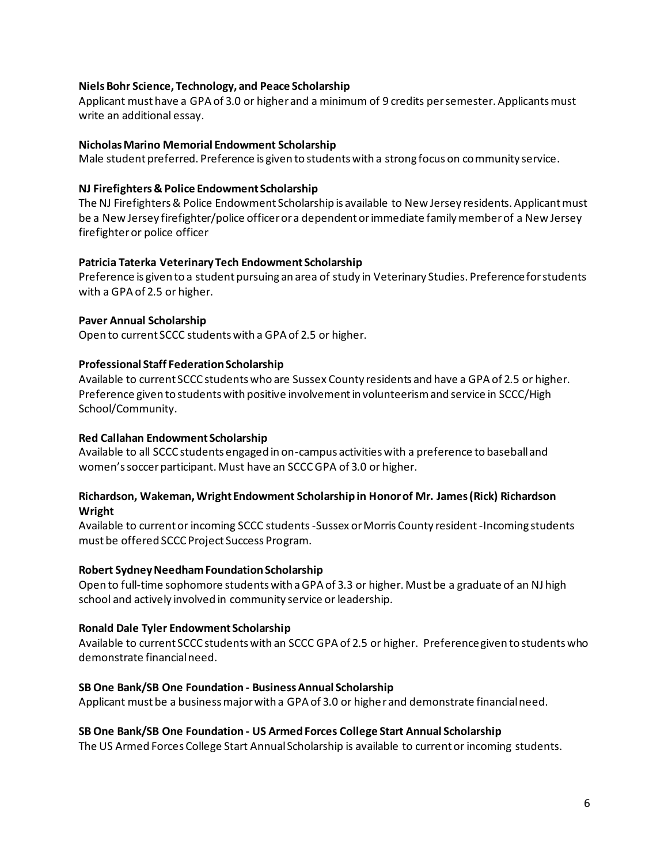## **Niels Bohr Science, Technology, and Peace Scholarship**

Applicant must have a GPA of 3.0 or higher and a minimum of 9 credits per semester. Applicants must write an additional essay.

## **Nicholas Marino Memorial Endowment Scholarship**

Male student preferred. Preference is given to students with a strong focus on community service.

# **NJ Firefighters & Police Endowment Scholarship**

The NJ Firefighters & Police Endowment Scholarship is available to New Jersey residents. Applicant must be a New Jersey firefighter/police officer or a dependent or immediate family member of a New Jersey firefighter or police officer

# **Patricia Taterka Veterinary Tech Endowment Scholarship**

Preference is given to a student pursuing an area of study in Veterinary Studies. Preference for students with a GPA of 2.5 or higher.

# **Paver Annual Scholarship**

Open to current SCCC students with a GPA of 2.5 or higher.

# **Professional Staff Federation Scholarship**

Available to current SCCC students who are Sussex County residents and have a GPA of 2.5 or higher. Preference given to students with positive involvement in volunteerism and service in SCCC/High School/Community.

# **Red Callahan Endowment Scholarship**

Available to all SCCC students engaged in on-campus activities with a preference to baseball and women's soccer participant. Must have an SCCC GPA of 3.0 or higher.

## **Richardson, Wakeman, Wright Endowment Scholarship in Honor of Mr. James (Rick) Richardson Wright**

Available to current or incoming SCCC students -Sussex or Morris County resident -Incoming students must be offered SCCC Project Success Program.

## **Robert Sydney Needham Foundation Scholarship**

Open to full-time sophomore students with a GPA of 3.3 or higher. Must be a graduate of an NJ high school and actively involved in community service or leadership.

## **Ronald Dale Tyler Endowment Scholarship**

Available to current SCCC students with an SCCC GPA of 2.5 or higher. Preference given to students who demonstrate financial need.

## **SB One Bank/SB One Foundation - Business Annual Scholarship**

Applicant must be a business major with a GPA of 3.0 or higher and demonstrate financial need.

# **SB One Bank/SB One Foundation - US Armed Forces College Start Annual Scholarship**

The US Armed Forces College Start Annual Scholarship is available to current or incoming students.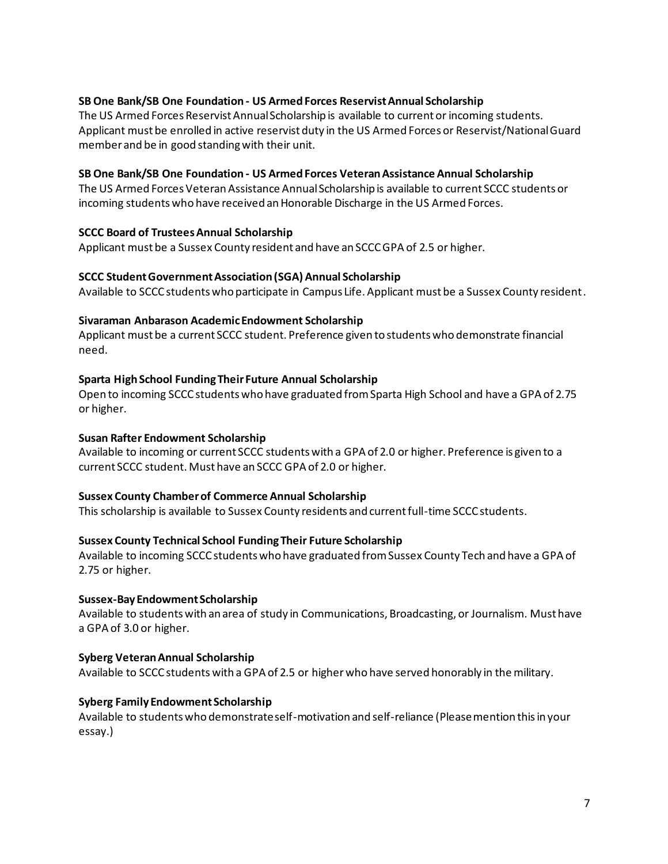# **SB One Bank/SB One Foundation - US Armed Forces Reservist Annual Scholarship**

The US Armed Forces Reservist Annual Scholarship is available to current or incoming students. Applicant must be enrolled in active reservist duty in the US Armed Forces or Reservist/National Guard member and be in good standing with their unit.

## **SB One Bank/SB One Foundation - US Armed Forces Veteran Assistance Annual Scholarship**

The US Armed Forces Veteran Assistance Annual Scholarship is available to current SCCC students or incoming students who have received an Honorable Discharge in the US Armed Forces.

## **SCCC Board of Trustees Annual Scholarship**

Applicant must be a Sussex County resident and have an SCCC GPA of 2.5 or higher.

## **SCCC Student Government Association (SGA) Annual Scholarship**

Available to SCCC students who participate in Campus Life. Applicant must be a Sussex County resident.

# **Sivaraman Anbarason Academic Endowment Scholarship**

Applicant must be a current SCCC student. Preference given to students who demonstrate financial need.

# **Sparta High School Funding Their Future Annual Scholarship**

Open to incoming SCCC students who have graduated from Sparta High School and have a GPA of 2.75 or higher.

# **Susan Rafter Endowment Scholarship**

Available to incoming or current SCCC students with a GPA of 2.0 or higher. Preference is given to a current SCCC student. Must have an SCCC GPA of 2.0 or higher.

## **Sussex County Chamber of Commerce Annual Scholarship**

This scholarship is available to Sussex County residents and current full-time SCCC students.

## **Sussex County Technical School Funding Their Future Scholarship**

Available to incoming SCCC students who have graduated from Sussex County Tech and have a GPA of 2.75 or higher.

## **Sussex-Bay Endowment Scholarship**

Available to students with an area of study in Communications, Broadcasting, or Journalism. Must have a GPA of 3.0 or higher.

# **Syberg Veteran Annual Scholarship**

Available to SCCC students with a GPA of 2.5 or higher who have served honorably in the military.

# **Syberg Family Endowment Scholarship**

Available to students who demonstrate self-motivation and self-reliance (Please mention this in your essay.)